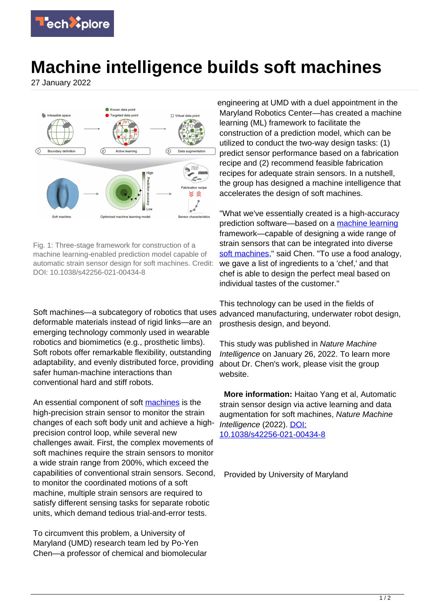

## **Machine intelligence builds soft machines**

27 January 2022



Fig. 1: Three-stage framework for construction of a machine learning-enabled prediction model capable of automatic strain sensor design for soft machines. Credit: DOI: 10.1038/s42256-021-00434-8

Soft machines—a subcategory of robotics that uses deformable materials instead of rigid links—are an emerging technology commonly used in wearable robotics and biomimetics (e.g., prosthetic limbs). Soft robots offer remarkable flexibility, outstanding adaptability, and evenly distributed force, providing safer human-machine interactions than conventional hard and stiff robots.

An essential component of soft [machines](https://techxplore.com/tags/machines/) is the high-precision strain sensor to monitor the strain changes of each soft body unit and achieve a highprecision control loop, while several new challenges await. First, the complex movements of soft machines require the strain sensors to monitor a wide strain range from 200%, which exceed the capabilities of conventional strain sensors. Second, to monitor the coordinated motions of a soft machine, multiple strain sensors are required to satisfy different sensing tasks for separate robotic units, which demand tedious trial-and-error tests.

To circumvent this problem, a University of Maryland (UMD) research team led by Po-Yen Chen—a professor of chemical and biomolecular engineering at UMD with a duel appointment in the Maryland Robotics Center—has created a machine learning (ML) framework to facilitate the construction of a prediction model, which can be utilized to conduct the two-way design tasks: (1) predict sensor performance based on a fabrication recipe and (2) recommend feasible fabrication recipes for adequate strain sensors. In a nutshell, the group has designed a machine intelligence that accelerates the design of soft machines.

"What we've essentially created is a high-accuracy prediction software—based on a [machine learning](https://techxplore.com/tags/machine+learning/) framework—capable of designing a wide range of strain sensors that can be integrated into diverse [soft machines](https://techxplore.com/tags/soft+machines/)," said Chen. "To use a food analogy, we gave a list of ingredients to a 'chef,' and that chef is able to design the perfect meal based on individual tastes of the customer."

This technology can be used in the fields of advanced manufacturing, underwater robot design, prosthesis design, and beyond.

This study was published in Nature Machine Intelligence on January 26, 2022. To learn more about Dr. Chen's work, please visit the group website.

 **More information:** Haitao Yang et al, Automatic strain sensor design via active learning and data augmentation for soft machines, Nature Machine Intelligence (2022). [DOI:](http://dx.doi.org/10.1038/s42256-021-00434-8) [10.1038/s42256-021-00434-8](http://dx.doi.org/10.1038/s42256-021-00434-8)

Provided by University of Maryland